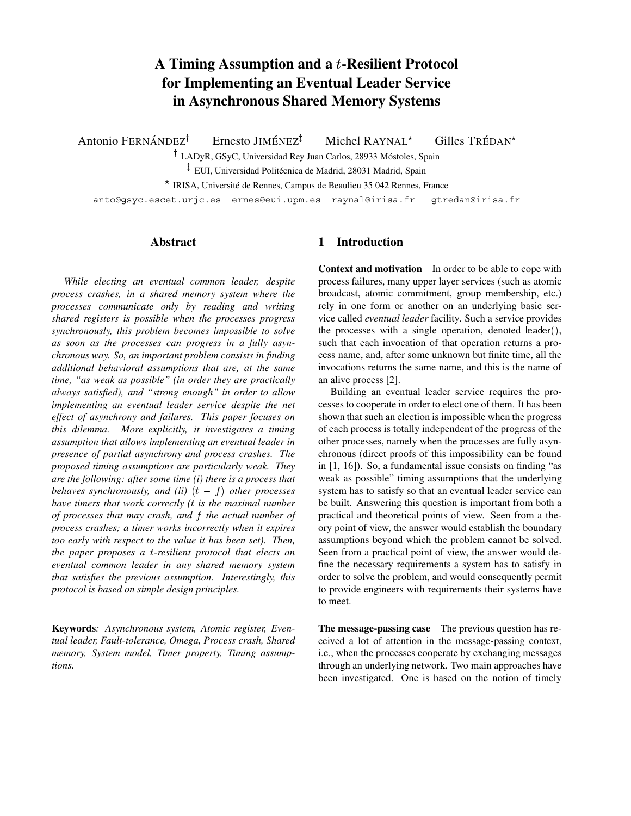# **A Timing Assumption and a** <sup>t</sup>**-Resilient Protocol for Implementing an Eventual Leader Service in Asynchronous Shared Memory Systems**

Antonio FERNÁNDEZ<sup>†</sup> Ernesto JIMÉNEZ<sup>‡</sup> Michel RAYNAL Gilles TRÉDAN<sup>\*</sup>

<sup>†</sup> LADyR, GSyC, Universidad Rey Juan Carlos, 28933 Móstoles, Spain

 $^{\ddagger}$  EUI, Universidad Politécnica de Madrid, 28031 Madrid, Spain

\* IRISA, Université de Rennes, Campus de Beaulieu 35 042 Rennes, France

anto@gsyc.escet.urjc.es ernes@eui.upm.es raynal@irisa.fr gtredan@irisa.fr

### **Abstract**

*While electing an eventual common leader, despite process crashes, in a shared memory system where the processes communicate only by reading and writing shared registers is possible when the processes progress synchronously, this problem becomes impossible to solve as soon as the processes can progress in a fully asynchronous way. So, an important problem consists in finding additional behavioral assumptions that are, at the same time, "as weak as possible" (in order they are practically always satisfied), and "strong enough" in order to allow implementing an eventual leader service despite the net effect of asynchrony and failures. This paper focuses on this dilemma. More explicitly, it investigates a timing assumption that allows implementing an eventual leader in presence of partial asynchrony and process crashes. The proposed timing assumptions are particularly weak. They are the following: after some time (i) there is a process that behaves synchronously, and (ii)*  $(t - f)$  *other processes have timers that work correctly (*<sup>t</sup> *is the maximal number of processes that may crash, and* <sup>f</sup> *the actual number of process crashes; a timer works incorrectly when it expires too early with respect to the value it has been set). Then, the paper proposes a* <sup>t</sup>*-resilient protocol that elects an eventual common leader in any shared memory system that satisfies the previous assumption. Interestingly, this protocol is based on simple design principles.*

**Keywords***: Asynchronous system, Atomic register, Eventual leader, Fault-tolerance, Omega, Process crash, Shared memory, System model, Timer property, Timing assumptions.*

# **1 Introduction**

**Context and motivation** In order to be able to cope with process failures, many upper layer services (such as atomic broadcast, atomic commitment, group membership, etc.) rely in one form or another on an underlying basic service called *eventual leader* facility. Such a service provides the processes with a single operation, denoted leader $($ ), such that each invocation of that operation returns a process name, and, after some unknown but finite time, all the invocations returns the same name, and this is the name of an alive process [2].

Building an eventual leader service requires the processes to cooperate in order to elect one of them. It has been shown that such an election is impossible when the progress of each process is totally independent of the progress of the other processes, namely when the processes are fully asynchronous (direct proofs of this impossibility can be found in [1, 16]). So, a fundamental issue consists on finding "as weak as possible" timing assumptions that the underlying system has to satisfy so that an eventual leader service can be built. Answering this question is important from both a practical and theoretical points of view. Seen from a theory point of view, the answer would establish the boundary assumptions beyond which the problem cannot be solved. Seen from a practical point of view, the answer would define the necessary requirements a system has to satisfy in order to solve the problem, and would consequently permit to provide engineers with requirements their systems have to meet.

**The message-passing case** The previous question has received a lot of attention in the message-passing context, i.e., when the processes cooperate by exchanging messages through an underlying network. Two main approaches have been investigated. One is based on the notion of timely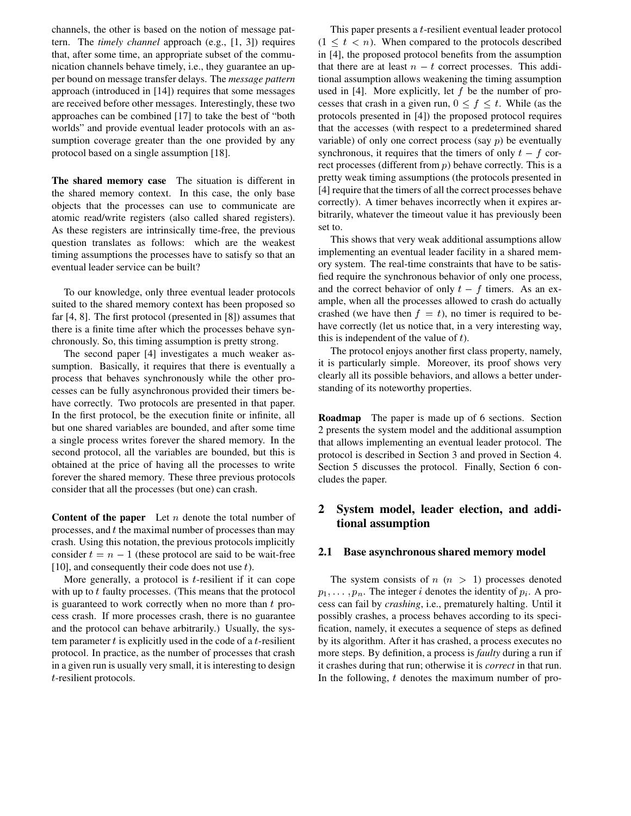channels, the other is based on the notion of message pattern. The *timely channel* approach (e.g., [1, 3]) requires that, after some time, an appropriate subset of the communication channels behave timely, i.e., they guarantee an upper bound on message transfer delays. The *message pattern* approach (introduced in [14]) requires that some messages are received before other messages. Interestingly, these two approaches can be combined [17] to take the best of "both worlds" and provide eventual leader protocols with an assumption coverage greater than the one provided by any protocol based on a single assumption [18].

**The shared memory case** The situation is different in the shared memory context. In this case, the only base objects that the processes can use to communicate are atomic read/write registers (also called shared registers). As these registers are intrinsically time-free, the previous question translates as follows: which are the weakest timing assumptions the processes have to satisfy so that an eventual leader service can be built?

To our knowledge, only three eventual leader protocols suited to the shared memory context has been proposed so far [4, 8]. The first protocol (presented in [8]) assumes that there is a finite time after which the processes behave synchronously. So, this timing assumption is pretty strong.

The second paper [4] investigates a much weaker assumption. Basically, it requires that there is eventually a process that behaves synchronously while the other processes can be fully asynchronous provided their timers behave correctly. Two protocols are presented in that paper. In the first protocol, be the execution finite or infinite, all but one shared variables are bounded, and after some time a single process writes forever the shared memory. In the second protocol, all the variables are bounded, but this is obtained at the price of having all the processes to write forever the shared memory. These three previous protocols consider that all the processes (but one) can crash.

**Content of the paper** Let *n* denote the total number of processes, and <sup>t</sup> the maximal number of processes than may crash. Using this notation, the previous protocols implicitly consider  $t = n - 1$  (these protocol are said to be wait-free [10], and consequently their code does not use  $t$ ).

More generally, a protocol is  $t$ -resilient if it can cope with up to  $t$  faulty processes. (This means that the protocol is guaranteed to work correctly when no more than  $t$  process crash. If more processes crash, there is no guarantee and the protocol can behave arbitrarily.) Usually, the system parameter  $t$  is explicitly used in the code of a  $t$ -resilient protocol. In practice, as the number of processes that crash in a given run is usually very small, it is interesting to design <sup>t</sup>-resilient protocols.

This paper presents a <sup>t</sup>-resilient eventual leader protocol  $(1 \leq t \leq n)$ . When compared to the protocols described in [4], the proposed protocol benefits from the assumption that there are at least  $n - t$  correct processes. This additional assumption allows weakening the timing assumption used in [4]. More explicitly, let  $f$  be the number of processes that crash in a given run,  $0 \le f \le t$ . While (as the protocols presented in [4]) the proposed protocol requires that the accesses (with respect to a predetermined shared variable) of only one correct process (say  $p$ ) be eventually synchronous, it requires that the timers of only  $t - f$  correct processes (different from  $p$ ) behave correctly. This is a pretty weak timing assumptions (the protocols presented in [4] require that the timers of all the correct processes behave correctly). A timer behaves incorrectly when it expires arbitrarily, whatever the timeout value it has previously been set to.

This shows that very weak additional assumptions allow implementing an eventual leader facility in a shared memory system. The real-time constraints that have to be satisfied require the synchronous behavior of only one process, and the correct behavior of only  $t - f$  timers. As an example, when all the processes allowed to crash do actually crashed (we have then  $f = t$ ), no timer is required to behave correctly (let us notice that, in a very interesting way, this is independent of the value of  $t$ ).

The protocol enjoys another first class property, namely, it is particularly simple. Moreover, its proof shows very clearly all its possible behaviors, and allows a better understanding of its noteworthy properties.

**Roadmap** The paper is made up of 6 sections. Section 2 presents the system model and the additional assumption that allows implementing an eventual leader protocol. The protocol is described in Section 3 and proved in Section 4. Section 5 discusses the protocol. Finally, Section 6 concludes the paper.

# **2 System model, leader election, and additional assumption**

#### **2.1 Base asynchronous shared memory model**

The system consists of  $n (n > 1)$  processes denoted  $p_1, \ldots, p_n$ . The integer i denotes the identity of  $p_i$ . A process can fail by *crashing*, i.e., prematurely halting. Until it possibly crashes, a process behaves according to its specification, namely, it executes a sequence of steps as defined by its algorithm. After it has crashed, a process executes no more steps. By definition, a process is *faulty* during a run if it crashes during that run; otherwise it is *correct* in that run. In the following,  $t$  denotes the maximum number of pro-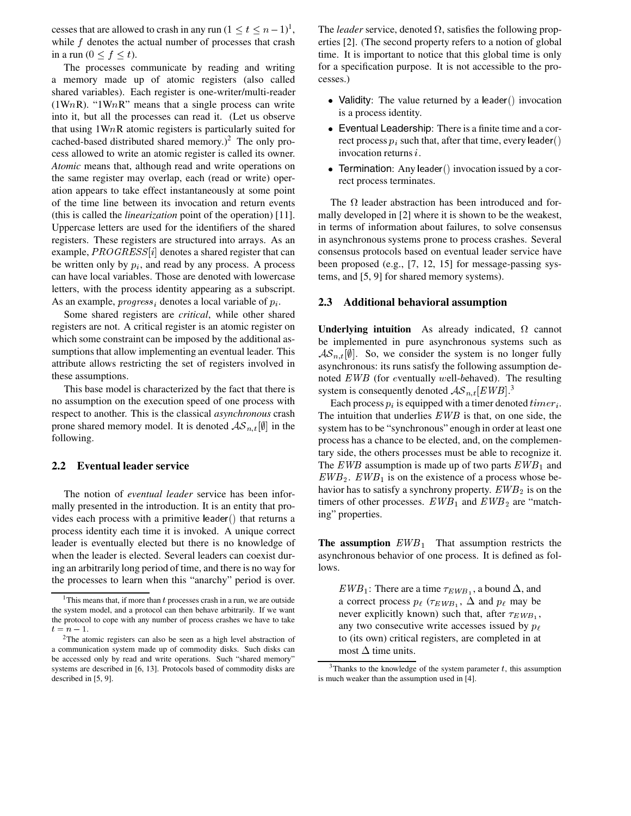cesses that are allowed to crash in any run  $(1 \le t \le n-1)^1$ , while  $f$  denotes the actual number of processes that crash in a run  $(0 \leq f \leq t)$ .

The processes communicate by reading and writing a memory made up of atomic registers (also called shared variables). Each register is one-writer/multi-reader (1WnR). "1WnR" means that a single process can write into it, but all the processes can read it. (Let us observe that using  $1WnR$  atomic registers is particularly suited for cached-based distributed shared memory.)<sup>2</sup> The only process allowed to write an atomic register is called its owner. *Atomic* means that, although read and write operations on the same register may overlap, each (read or write) operation appears to take effect instantaneously at some point of the time line between its invocation and return events (this is called the *linearization* point of the operation) [11]. Uppercase letters are used for the identifiers of the shared registers. These registers are structured into arrays. As an example,  $PROGRESS[i]$  denotes a shared register that can be written only by  $p_i$ , and read by any process. A process can have local variables. Those are denoted with lowercase letters, with the process identity appearing as a subscript. As an example,  $progress<sub>i</sub>$  denotes a local variable of  $p<sub>i</sub>$ .

Some shared registers are *critical*, while other shared registers are not. A critical register is an atomic register on which some constraint can be imposed by the additional assumptions that allow implementing an eventual leader. This attribute allows restricting the set of registers involved in these assumptions.

This base model is characterized by the fact that there is no assumption on the execution speed of one process with respect to another. This is the classical *asynchronous* crash prone shared memory model. It is denoted  $\mathcal{AS}_{n,t}[\emptyset]$  in the following.

### **2.2 Eventual leader service**

The notion of *eventual leader* service has been informally presented in the introduction. It is an entity that provides each process with a primitive leader () that returns a process identity each time it is invoked. A unique correct leader is eventually elected but there is no knowledge of when the leader is elected. Several leaders can coexist during an arbitrarily long period of time, and there is no way for the processes to learn when this "anarchy" period is over.

The *leader* service, denoted  $\Omega$ , satisfies the following properties [2]. (The second property refers to a notion of global time. It is important to notice that this global time is only for a specification purpose. It is not accessible to the processes.)

- Validity: The value returned by a leader () invocation is a process identity.
- Eventual Leadership: There is a finite time and a correct process  $p_i$  such that, after that time, every leader() invocation returns <sup>i</sup>.
- Termination: Any leader () invocation issued by a correct process terminates.

The  $\Omega$  leader abstraction has been introduced and formally developed in [2] where it is shown to be the weakest, in terms of information about failures, to solve consensus in asynchronous systems prone to process crashes. Several consensus protocols based on eventual leader service have been proposed (e.g., [7, 12, 15] for message-passing systems, and [5, 9] for shared memory systems).

#### **2.3 Additional behavioral assumption**

**Underlying intuition** As already indicated,  $\Omega$  cannot be implemented in pure asynchronous systems such as  $\mathcal{AS}_{n,t}[\emptyset]$ . So, we consider the system is no longer fully asynchronous: its runs satisfy the following assumption denoted EWB (for <sup>e</sup>ventually <sup>w</sup>ell-behaved). The resulting system is consequently denoted  $AS_{n,t}[EWB]$ .<sup>3</sup>

Each process  $p_i$  is equipped with a timer denoted  $timer_i$ . The intuition that underlies EWB is that, on one side, the system has to be "synchronous" enough in order at least one process has a chance to be elected, and, on the complementary side, the others processes must be able to recognize it. The EWB assumption is made up of two parts  $EWB_1$  and  $EWB_2$ .  $EWB_1$  is on the existence of a process whose behavior has to satisfy a synchrony property.  $EWB_2$  is on the timers of other processes.  $EWB_1$  and  $EWB_2$  are "matching" properties.

**The assumption**  $EWB_1$  That assumption restricts the asynchronous behavior of one process. It is defined as follows.

 $EWB_1$ : There are a time  $\tau_{EWB_1}$ , a bound  $\Delta$ , and a correct process  $p_{\ell}$  ( $\tau_{EWB_1}$ ,  $\Delta$  and  $p_{\ell}$  may be never explicitly known) such that, after  $\tau_{EWB_1}$ , any two consecutive write accesses issued by  $p_{\ell}$ to (its own) critical registers, are completed in at most  $\Delta$  time units.

<sup>&</sup>lt;sup>1</sup>This means that, if more than  $t$  processes crash in a run, we are outside the system model, and a protocol can then behave arbitrarily. If we want the protocol to cope with any number of process crashes we have to take  $t = n - 1.$ 

<sup>2</sup>The atomic registers can also be seen as a high level abstraction of a communication system made up of commodity disks. Such disks can be accessed only by read and write operations. Such "shared memory" systems are described in [6, 13]. Protocols based of commodity disks are described in [5, 9].

 $3$ Thanks to the knowledge of the system parameter t, this assumption is much weaker than the assumption used in [4].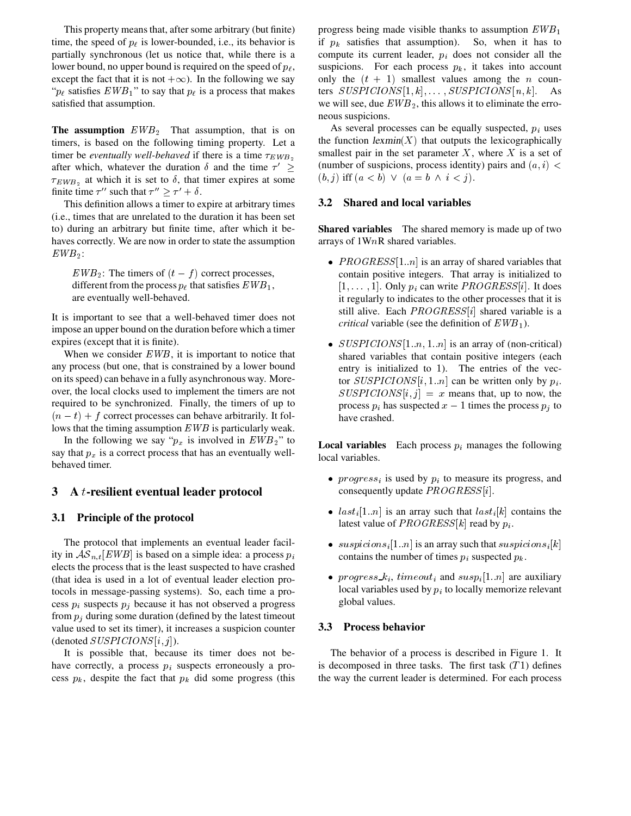This property means that, after some arbitrary (but finite) time, the speed of  $p_{\ell}$  is lower-bounded, i.e., its behavior is partially synchronous (let us notice that, while there is a lower bound, no upper bound is required on the speed of  $p_{\ell}$ , except the fact that it is not  $+\infty$ ). In the following we say " $p_\ell$  satisfies  $EWB_1$ " to say that  $p_\ell$  is a process that makes satisfied that assumption.

**The assumption**  $EWB_2$  That assumption, that is on timers, is based on the following timing property. Let a timer be *eventually well-behaved* if there is a time  $\tau_{EWB_2}$ after which, whatever the duration  $\delta$  and the time  $\tau' \geq$  (number  $\tau_{EWB_2}$  at which it is set to  $\delta$ , that timer expires at some finite time  $\tau''$  such that  $\tau'' \geq \tau' + \delta$ .

This definition allows a timer to expire at arbitrary times (i.e., times that are unrelated to the duration it has been set to) during an arbitrary but finite time, after which it behaves correctly. We are now in order to state the assumption  $EWB_2$ :

 $EWB_2$ : The timers of  $(t - f)$  correct processes, different from the process  $p_{\ell}$  that satisfies  $EWB_1$ , are eventually well-behaved.

It is important to see that a well-behaved timer does not impose an upper bound on the duration before which a timer expires (except that it is finite).

When we consider  $EWB$ , it is important to notice that any process (but one, that is constrained by a lower bound on its speed) can behave in a fully asynchronous way. Moreover, the local clocks used to implement the timers are not required to be synchronized. Finally, the timers of up to  $(n - t) + f$  correct processes can behave arbitrarily. It follows that the timing assumption EWB is particularly weak.

In the following we say " $p_x$  is involved in  $EWB_2$ " to say that  $p_x$  is a correct process that has an eventually wellbehaved timer.

## **3 A** <sup>t</sup>**-resilient eventual leader protocol**

#### **3.1 Principle of the protocol**

The protocol that implements an eventual leader facility in  $AS_{n,t}[EWB]$  is based on a simple idea: a process  $p_i$ elects the process that is the least suspected to have crashed (that idea is used in a lot of eventual leader election protocols in message-passing systems). So, each time a process  $p_i$  suspects  $p_j$  because it has not observed a progress from  $p_i$  during some duration (defined by the latest timeout value used to set its timer), it increases a suspicion counter (denoted  $SUSPICIONS[i, j]$ ).

It is possible that, because its timer does not behave correctly, a process  $p_i$  suspects erroneously a process  $p_k$ , despite the fact that  $p_k$  did some progress (this progress being made visible thanks to assumption  $EWB_1$ if  $p_k$  satisfies that assumption). So, when it has to compute its current leader,  $p_i$  does not consider all the suspicions. For each process  $p_k$ , it takes into account only the  $(t + 1)$  smallest values among the n counters  $SUSPICIONS[1, k], \ldots, SUSPICIONS[n, k]$ . As we will see, due  $EWB_2$ , this allows it to eliminate the erroneous suspicions.

As several processes can be equally suspected,  $p_i$  uses the function  $lexmin(X)$  that outputs the lexicographically smallest pair in the set parameter  $X$ , where  $X$  is a set of (number of suspicions, process identity) pairs and  $(a, i)$  <  $(b, j)$  iff  $(a < b) \vee (a = b \wedge i < j).$ 

#### **3.2 Shared and local variables**

**Shared variables** The shared memory is made up of two arrays of 1WnR shared variables.

- $PROGRESS[1..n]$  is an array of shared variables that contain positive integers. That array is initialized to  $[1, \ldots, 1]$ . Only  $p_i$  can write  $PROGRES[i]$ . It does it regularly to indicates to the other processes that it is still alive. Each  $PROGRESS[i]$  shared variable is a *critical* variable (see the definition of  $EWB_1$ ).
- $SUSPICIONS[1..n, 1..n]$  is an array of (non-critical) shared variables that contain positive integers (each entry is initialized to 1). The entries of the vector  $SUBPICIONS[i, 1..n]$  can be written only by  $p_i$ .  $SUBPICIONS[i, j] = x$  means that, up to now, the process  $p_i$  has suspected  $x - 1$  times the process  $p_i$  to have crashed.

**Local variables** Each process  $p_i$  manages the following local variables.

- progress; is used by  $p_i$  to measure its progress, and consequently update  $PROGRES[<sub>i</sub>]$ .
- $last_i[1..n]$  is an array such that  $last_i[k]$  contains the latest value of  $PROGRESS[k]$  read by  $p_i$ .
- $suspicions_i[1..n]$  is an array such that  $suspicions_i[k]$ contains the number of times  $p_i$  suspected  $p_k$ .
- progress  $k_i$ , timeout<sub>i</sub> and susp<sub>i</sub>[1..n] are auxiliary local variables used by  $p_i$  to locally memorize relevant global values.

### **3.3 Process behavior**

The behavior of a process is described in Figure 1. It is decomposed in three tasks. The first task  $(T1)$  defines the way the current leader is determined. For each process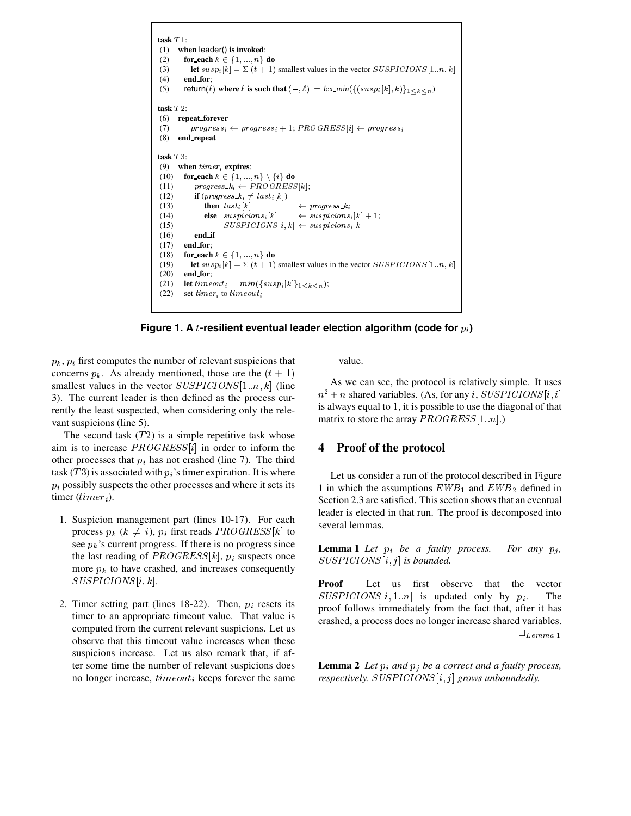```
task T :
(1) when leader() is invoked:
(2) for_each k \in \{1, ..., n\} do
(3) let susp_i[k] = \sum (t+1) smallest values in the vector SUBPICIONS[1..n, k](4) end for;
(5) return(\ell) where \ell is such that (-, \ell) = lex\_min(\{(susp_i[k], k)\}_{1 \leq k \leq n})\textbf{task } T2:
(6) repeat forever
(7) progress_i \leftarrow progress_i + 1; PROGRESS[i] \leftarrow progress_i(8) end repeat
\textbf{task } T3:
(9) when timeri expires:
(10) for_each k \in \{1, ..., n\} \setminus \{i\} do
(11) \qquad \qquad progress\_k_i \leftarrow PROGRESS[k];(12) if (progress k_i \neq last_i[k])
(13) then last_i[k]\kappa \leftrightarrow progress \kappa_i(14) else suspicions<sub>i</sub>[k]
                                [k] \leftarrow \text{supitions}_i[k]+1;(15) SUSPICIONS[i,k] \leftarrow suspicious_i[k](16) end if
(17) end for;
(18) for each k \in \{1, ..., n\} do
(19) let susp_i[k] = \sum (t+1) smallest values in the vector SUBPICIONS[1..n, k](20) end for;
(21) let timeout_i = min({swsp_i[k]}_{1 \leq k \leq n});(22) set timer_i to timeout_i
```
**Figure 1. A** t-resilient eventual leader election algorithm (code for  $p_i$ )

 $p_k$ ,  $p_i$  first computes the number of relevant suspicions that concerns  $p_k$ . As already mentioned, those are the  $(t + 1)$ smallest values in the vector  $SUSPICIONS[1..n, k]$  (line 3). The current leader is then defined as the process currently the least suspected, when considering only the relevant suspicions (line 5).

The second task  $(T2)$  is a simple repetitive task whose aim is to increase  $PROGRESS[i]$  in order to inform the other processes that  $p_i$  has not crashed (line 7). The third task (T 3) is associated with  $p<sub>i</sub>$ 's timer expiration. It is where  $p_i$  possibly suspects the other processes and where it sets its timer  $(timer_i)$ .

- 1. Suspicion management part (lines 10-17). For each process  $p_k$  ( $k \neq i$ ),  $p_i$  first reads  $PROGRESS[k]$  to see  $p_k$ 's current progress. If there is no progress since the last reading of  $PROGRESS[k], p_i$  suspects once more  $p_k$  to have crashed, and increases consequently  $SUSPICIONS[i, k]$ .
- 2. Timer setting part (lines 18-22). Then,  $p_i$  resets its timer to an appropriate timeout value. That value is computed from the current relevant suspicions. Let us observe that this timeout value increases when these suspicions increase. Let us also remark that, if after some time the number of relevant suspicions does no longer increase,  $timeout_i$  keeps forever the same

value.

As we can see, the protocol is relatively simple. It uses  $n^2 + n$  shared variables. (As, for any i, SUSPICIONS  $[i, i]$  $i$ is always equal to 1, it is possible to use the diagonal of that matrix to store the array  $PROGRES[1..n]$ .

# **4 Proof of the protocol**

Let us consider a run of the protocol described in Figure 1 in which the assumptions  $EWB_1$  and  $EWB_2$  defined in Section 2.3 are satisfied. This section shows that an eventual leader is elected in that run. The proof is decomposed into several lemmas.

**Lemma 1** *Let*  $p_i$  *be a faulty process. For any*  $p_j$ ,  $SUBPICIONS[i, j]$  is bounded.

**Proof** Let us first observe that the vector  $SUBPICIONS[i, 1..n]$  is updated only by  $p_i$ . The proof follows immediately from the fact that, after it has crashed, a process does no longer increase shared variables.  $\Box_{Lemma~1}$ 

**Lemma 2** Let  $p_i$  and  $p_j$  be a correct and a faulty process, *respectively.*  $SUSPICIONS[i, j]$  grows unboundedly.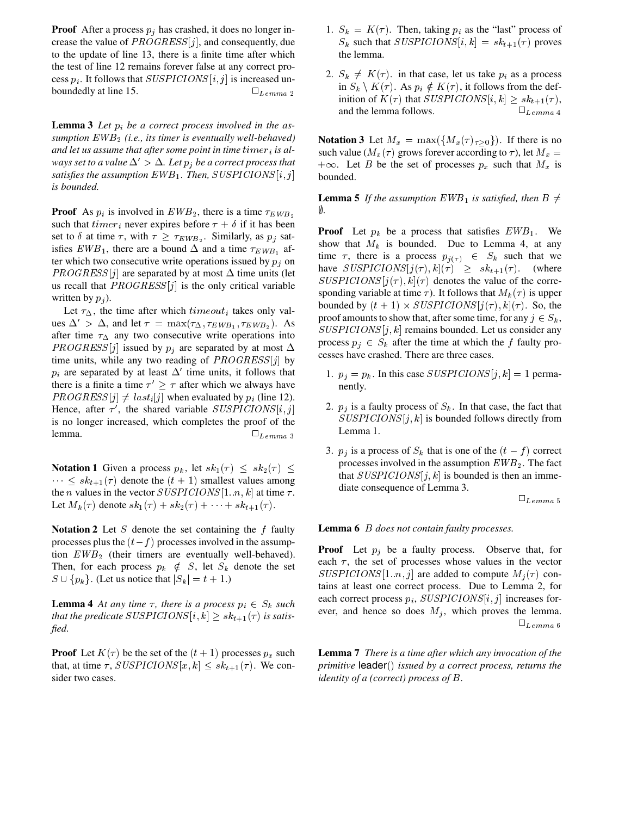**Proof** After a process  $p_j$  has crashed, it does no longer increase the value of  $PROGRESS[j]$ , and consequently, due to the update of line 13, there is a finite time after which the test of line 12 remains forever false at any correct process  $p_i$ . It follows that  $SUSPICIONS[i, j]$  is increased unboundedly at line 15.  $\Box$   $L_{tempa}$  2

**Lemma 3** Let  $p_i$  be a correct process involved in the as*sumption* EWB *(i.e., its timer is eventually well-behaved) and let us assume that after some point in time timer<sub>i</sub> is always set to a value*  $\Delta' > \Delta$ *. Let*  $p_i$  *be a correct process that* satisfies the assumption  $EWB_1$ . Then,  $SUSPICIONS[i,j]$ *is bounded.*

**Proof** As  $p_i$  is involved in  $EWB_2$ , there is a time  $\tau_{EWB_2}$ such that *timer<sub>i</sub>* never expires before  $\tau + \delta$  if it has been set to  $\delta$  at time  $\tau$ , with  $\tau \geq \tau_{EWB_2}$ . Similarly, as  $p_j$  satisfies  $EWB_1$ , there are a bound  $\Delta$  and a time  $\tau_{EWB_1}$  after which two consecutive write operations issued by  $p_i$  on  $PROGRESS[j]$  are separated by at most  $\Delta$  time units (let us recall that  $PROGRESS[j]$  is the only critical variable written by  $p_i$ ).

Let  $\tau_{\Delta}$ , the time after which  $timeout_i$  takes only values  $\Delta' > \Delta$ , and let  $\tau = \max(\tau_{\Delta}, \tau_{EWB_1}, \tau_{EWB_2})$ . As after time  $\tau_{\Delta}$  any two consecutive write operations into *PROGRESS* [j] issued by  $p_j$  are separated by at most  $\Delta$ time units, while any two reading of  $PROGRESS[j]$  by  $p_i$  are separated by at least  $\Delta'$  time units, it follows that there is a finite a time  $\tau' \geq \tau$  after which we always have  $PROGRESS[j] \neq last_{i}[j]$  when evaluated by  $p_i$  (line 12). Hence, after  $\tau'$ , the shared variable  $\text{SUBPICIONS}[i,j]$ is no longer increased, which completes the proof of the lemma.  $\Box$ <sub>Lemma 3</sub>

**Notation 1** Given a process  $p_k$ , let  $sk_1(\tau) \leq sk_2(\tau) \leq$  $\cdots \leq sk_{t+1}(\tau)$  denote the  $(t + 1)$  smallest values among the *n* values in the vector  $SUSPICIONS[1..n, k]$  at time  $\tau$ . Let  $M_k(\tau)$  denote  $sk_1(\tau) + sk_2(\tau) + \cdots + sk_{t+1}(\tau)$ .

**Notation 2** Let S denote the set containing the f faulty processes plus the  $(t - f)$  processes involved in the assumption  $EWB<sub>2</sub>$  (their timers are eventually well-behaved). Then, for each process  $p_k \notin S$ , let  $S_k$  denote the set  $S \cup \{p_k\}$ . (Let us notice that  $|S_k| = t + 1$ .)

**Lemma 4** At any time  $\tau$ , there is a process  $p_i \in S_k$  such that the predicate  $SUSPICIONS[i, k] \geq sk_{t+1}(\tau)$  is satis*fied.*

**Proof** Let  $K(\tau)$  be the set of the  $(t + 1)$  processes  $p_x$  such that, at time  $\tau$ ,  $SUSPICIONS[x, k] \leq sk_{t+1}(\tau)$ . We consider two cases.

- 1.  $S_k = K(\tau)$ . Then, taking  $p_i$  as the "last" process of  $S_k$  such that  $SUSPICIONS[i, k] = sk_{t+1}(\tau)$  proves the lemma.
- 2.  $S_k \neq K(\tau)$ . in that case, let us take  $p_i$  as a process in  $S_k \setminus K(\tau)$ . As  $p_i \notin K(\tau)$ , it follows from the definition of  $K(\tau)$  that  $SUSPICIONS[i, k] \geq sk_{t+1}(\tau)$ , and the lemma follows.  $\Box$   $L_{emma}$  4

**Notation 3** Let  $M_x = \max(\lbrace M_x(\tau)_{\tau>0} \rbrace)$ . If there is no such value ( $M_x(\tau)$  grows forever according to  $\tau$ ), let  $M_x =$  $+\infty$ . Let B be the set of processes  $p_x$  such that  $M_x$  is bounded.

**Lemma 5** If the assumption  $EWB_1$  is satisfied, then  $B \neq$ -*.*

**Proof** Let  $p_k$  be a process that satisfies  $EWB_1$ . We show that  $M_k$  is bounded. Due to Lemma 4, at any time  $\tau$ , there is a process  $p_{i(\tau)} \in S_k$  such that we have  $SUSPICIONS[j(\tau), k](\tau) \geq sk_{t+1}(\tau)$ . (where  $SUBPICIONS[j(\tau), k](\tau)$  denotes the value of the corresponding variable at time  $\tau$ ). It follows that  $M_k(\tau)$  is upper bounded by  $(t + 1) \times SUSPICIONS[j(\tau), k](\tau)$ . So, the proof amounts to show that, after some time, for any  $j \in S_k$ ,  $SUBPICIONS[j, k]$  remains bounded. Let us consider any process  $p_j \in S_k$  after the time at which the f faulty processes have crashed. There are three cases.

- 1.  $p_j = p_k$ . In this case  $SUSPICIONS[j,k] = 1$  permanently.
- $j$  2.  $p_j$  is a faulty process of  $S_k$ . In that case, the fact that  $SUBPICIONS[j,k]$  is bounded follows directly from Lemma 1.
	- 3.  $p_j$  is a process of  $S_k$  that is one of the  $(t f)$  correct processes involved in the assumption  $EWB<sub>2</sub>$ . The fact that  $SUSPICIONS[j, k]$  is bounded is then an immediate consequence of Lemma 3.

 $\square_{Lemma\ 5}$ 

**Lemma 6** <sup>B</sup> *does not contain faulty processes.*

**Proof** Let  $p_j$  be a faulty process. Observe that, for each  $\tau$ , the set of processes whose values in the vector  $SUBPICIONS [1..n, j]$  are added to compute  $M_j(\tau)$  contains at least one correct process. Due to Lemma 2, for each correct process  $p_i$ ,  $SUSPICIONS[i, j]$  increases forever, and hence so does  $M_j$ , which proves the lemma.  $\square_{Lemma\ 6}$ 

**Lemma 7** *There is a time after which any invocation of the primitive* **leader**(*) issued by a correct process, returns the identity of a (correct) process of* <sup>B</sup>*.*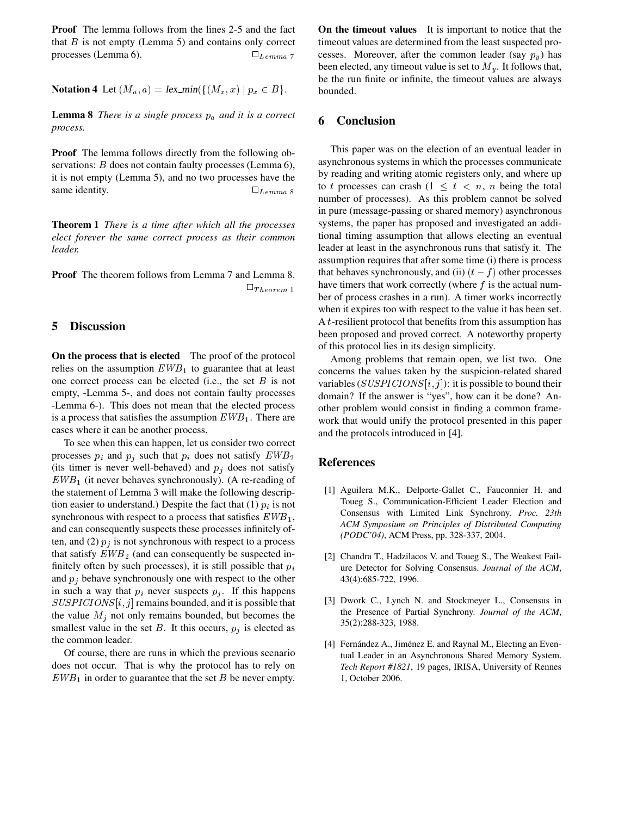**Proof** The lemma follows from the lines 2-5 and the fact that  $B$  is not empty (Lemma 5) and contains only correct processes (Lemma 6).  $\Box$   $L_{emma}$  7

**Notation 4** Let  $(M_a, a) = lex\_min(\{(M_x, x) \mid p_x \in B\}).$ 

**Lemma 8** *There is a single process*  $p_a$  *and it is a correct process.*

**Proof** The lemma follows directly from the following observations: *B* does not contain faulty processes (Lemma 6), it is not empty (Lemma 5), and no two processes have the same identity.  $\Box$   $L_{emm}$  8

**Theorem 1** *There is a time after which all the processes elect forever the same correct process as their common leader.*

**Proof** The theorem follows from Lemma 7 and Lemma 8.  $\Box_{Theorem~1}$ 

### **5 Discussion**

**On the process that is elected** The proof of the protocol relies on the assumption  $EWB_1$  to guarantee that at least one correct process can be elected (i.e., the set  $B$  is not empty, -Lemma 5-, and does not contain faulty processes -Lemma 6-). This does not mean that the elected process is a process that satisfies the assumption  $EWB_1$ . There are cases where it can be another process.

To see when this can happen, let us consider two correct processes  $p_i$  and  $p_j$  such that  $p_i$  does not satisfy  $EWB_2$ (its timer is never well-behaved) and  $p_j$  does not satisfy  $EWB_1$  (it never behaves synchronously). (A re-reading of the statement of Lemma 3 will make the following description easier to understand.) Despite the fact that  $(1)$   $p_i$  is not synchronous with respect to a process that satisfies  $EWB_1$ , and can consequently suspects these processes infinitely often, and (2)  $p_j$  is not synchronous with respect to a process that satisfy  $EWB_2$  (and can consequently be suspected infinitely often by such processes), it is still possible that  $p_i$ and  $p_i$  behave synchronously one with respect to the other in such a way that  $p_i$  never suspects  $p_j$ . If this happens  $SUBPICIONS[i, j]$  remains bounded, and it is possible that the value  $M_j$  not only remains bounded, but becomes the smallest value in the set  $B$ . It this occurs,  $p_j$  is elected as the common leader.

Of course, there are runs in which the previous scenario does not occur. That is why the protocol has to rely on  $EWB_1$  in order to guarantee that the set B be never empty.

**On the timeout values** It is important to notice that the timeout values are determined from the least suspected processes. Moreover, after the common leader (say  $p_y$ ) has been elected, any timeout value is set to  $M_y$ . It follows that, be the run finite or infinite, the timeout values are always bounded.

# **6 Conclusion**

This paper was on the election of an eventual leader in asynchronous systems in which the processes communicate by reading and writing atomic registers only, and where up to t processes can crash  $(1 \leq t < n, n$  being the total number of processes). As this problem cannot be solved in pure (message-passing or shared memory) asynchronous systems, the paper has proposed and investigated an additional timing assumption that allows electing an eventual leader at least in the asynchronous runs that satisfy it. The assumption requires that after some time (i) there is process that behaves synchronously, and (ii)  $(t - f)$  other processes have timers that work correctly (where  $f$  is the actual number of process crashes in a run). A timer works incorrectly when it expires too with respect to the value it has been set. A <sup>t</sup>-resilient protocol that benefits from this assumption has been proposed and proved correct. A noteworthy property of this protocol lies in its design simplicity.

Among problems that remain open, we list two. One concerns the values taken by the suspicion-related shared variables ( $SUSPICIONS[i, j]$ ): it is possible to bound their domain? If the answer is "yes", how can it be done? Another problem would consist in finding a common framework that would unify the protocol presented in this paper and the protocols introduced in [4].

### **References**

- [1] Aguilera M.K., Delporte-Gallet C., Fauconnier H. and Toueg S., Communication-Efficient Leader Election and Consensus with Limited Link Synchrony. *Proc. 23th ACM Symposium on Principles of Distributed Computing (PODC'04)*, ACM Press, pp. 328-337, 2004.
- [2] Chandra T., Hadzilacos V. and Toueg S., The Weakest Failure Detector for Solving Consensus. *Journal of the ACM*, 43(4):685-722, 1996.
- [3] Dwork C., Lynch N. and Stockmeyer L., Consensus in the Presence of Partial Synchrony. *Journal of the ACM*, 35(2):288-323, 1988.
- [4] Fernández A., Jiménez E. and Raynal M., Electing an Eventual Leader in an Asynchronous Shared Memory System. *Tech Report #1821*, 19 pages, IRISA, University of Rennes 1, October 2006.